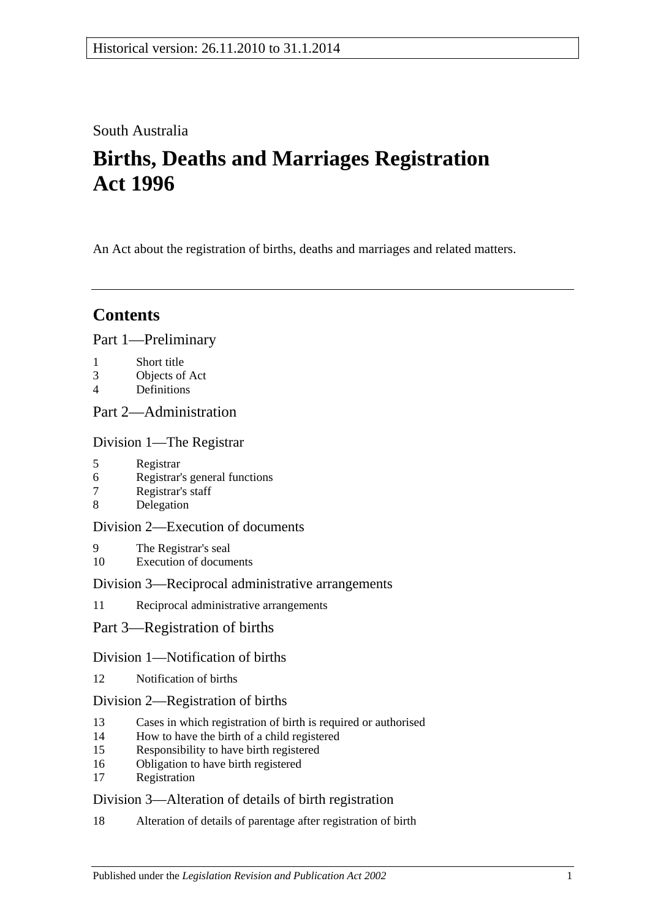### South Australia

# **Births, Deaths and Marriages Registration Act 1996**

An Act about the registration of births, deaths and marriages and related matters.

## **Contents**

#### [Part 1—Preliminary](#page-2-0)

- 1 [Short title](#page-2-1)
- 3 [Objects of Act](#page-2-2)
- 4 [Definitions](#page-3-0)

### [Part 2—Administration](#page-4-0)

[Division 1—The Registrar](#page-4-1)

- 5 [Registrar](#page-4-2)
- 6 [Registrar's general functions](#page-4-3)
- 7 [Registrar's staff](#page-5-0)
- 8 [Delegation](#page-5-1)

#### [Division 2—Execution of documents](#page-5-2)

- 9 [The Registrar's seal](#page-5-3)
- 10 [Execution of documents](#page-5-4)

#### [Division 3—Reciprocal administrative arrangements](#page-5-5)

- 11 [Reciprocal administrative arrangements](#page-5-6)
- [Part 3—Registration of births](#page-6-0)

#### [Division 1—Notification of births](#page-6-1)

12 [Notification of births](#page-6-2)

#### [Division 2—Registration of births](#page-7-0)

- 13 [Cases in which registration of birth is required or authorised](#page-7-1)
- 14 [How to have the birth of a child registered](#page-7-2)
- 15 [Responsibility to have birth registered](#page-7-3)
- 16 [Obligation to have birth registered](#page-7-4)
- 17 [Registration](#page-8-0)

### [Division 3—Alteration of details of birth registration](#page-8-1)

18 [Alteration of details of parentage after registration of birth](#page-8-2)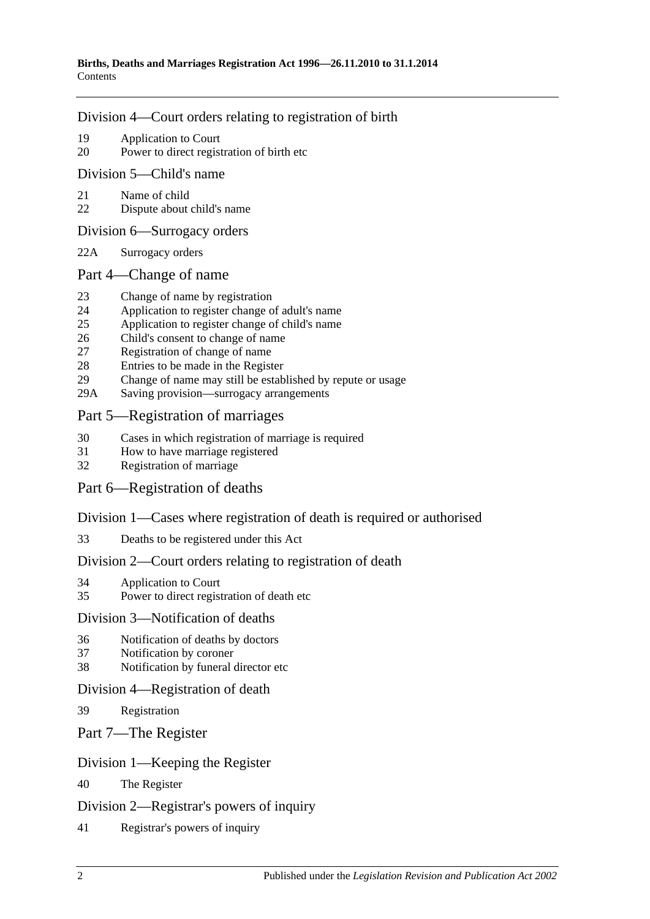#### [Division 4—Court orders relating to registration of birth](#page-8-3)

- 19 [Application to Court](#page-8-4)
- 20 [Power to direct registration of birth etc](#page-9-0)

#### [Division 5—Child's name](#page-9-1)

- 21 [Name of child](#page-9-2)
- 22 [Dispute about child's name](#page-9-3)

#### [Division 6—Surrogacy orders](#page-9-4)

22A [Surrogacy orders](#page-9-5)

#### [Part 4—Change of name](#page-10-0)

- 23 [Change of name by registration](#page-10-1)
- 24 [Application to register change of adult's name](#page-10-2)
- 25 [Application to register change of child's name](#page-10-3)
- 26 [Child's consent to change of name](#page-11-0)
- 27 [Registration of change of name](#page-11-1)
- 28 [Entries to be made in the Register](#page-11-2)
- 29 [Change of name may still be established by repute or usage](#page-12-0)
- 29A [Saving provision—surrogacy arrangements](#page-12-1)

#### [Part 5—Registration of marriages](#page-12-2)

- 30 [Cases in which registration of marriage is required](#page-12-3)
- 31 [How to have marriage registered](#page-12-4)
- 32 [Registration of marriage](#page-12-5)

### [Part 6—Registration of deaths](#page-12-6)

#### [Division 1—Cases where registration of death is required or authorised](#page-12-7)

33 [Deaths to be registered under this Act](#page-12-8)

### [Division 2—Court orders relating to registration of death](#page-13-0)

- 34 [Application to Court](#page-13-1)
- 35 [Power to direct registration of death etc](#page-13-2)

#### [Division 3—Notification of deaths](#page-13-3)

- 36 [Notification of deaths by doctors](#page-13-4)
- 37 [Notification by coroner](#page-14-0)
- 38 [Notification by funeral director etc](#page-14-1)

#### [Division 4—Registration of death](#page-15-0)

- 39 [Registration](#page-15-1)
- [Part 7—The Register](#page-15-2)

#### [Division 1—Keeping the Register](#page-15-3)

40 [The Register](#page-15-4)

#### [Division 2—Registrar's powers of inquiry](#page-15-5)

41 [Registrar's powers of inquiry](#page-15-6)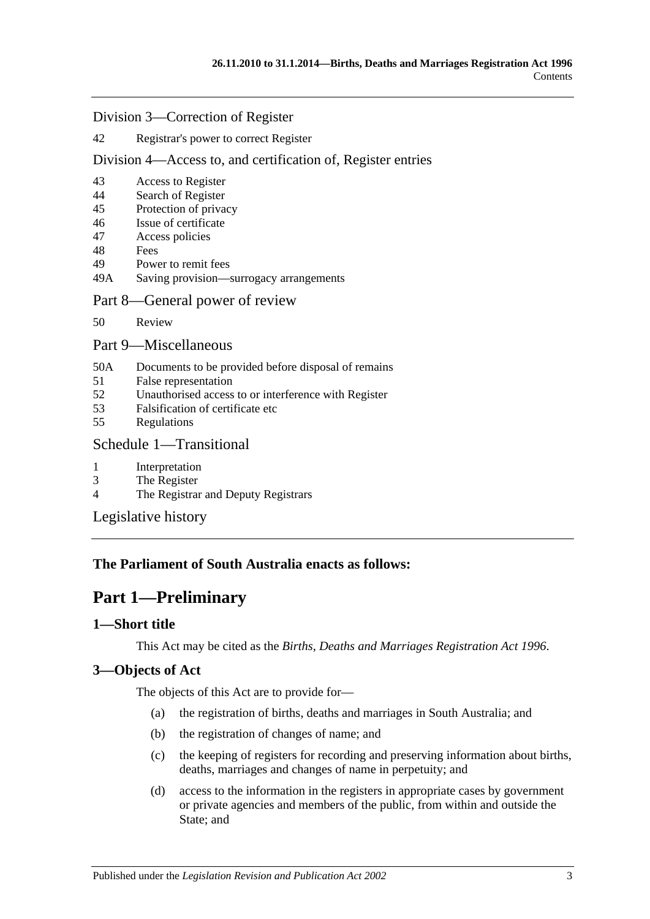#### [Division 3—Correction of Register](#page-16-0)

#### 42 [Registrar's power to correct Register](#page-16-1)

#### [Division 4—Access to, and certification of, Register entries](#page-16-2)

- 43 [Access to Register](#page-16-3)
- 44 [Search of Register](#page-16-4)
- 45 [Protection of privacy](#page-17-0)
- 46 [Issue of certificate](#page-17-1)
- 47 [Access policies](#page-17-2)
- 48 [Fees](#page-17-3)
- 49 [Power to remit fees](#page-17-4)
- 49A [Saving provision—surrogacy arrangements](#page-18-0)

#### [Part 8—General power of review](#page-18-1)

50 [Review](#page-18-2)

#### [Part 9—Miscellaneous](#page-18-3)

- 50A [Documents to be provided before disposal of remains](#page-18-4)
- 51 [False representation](#page-19-0)
- 52 [Unauthorised access to or interference with Register](#page-19-1)
- 53 [Falsification of certificate etc](#page-19-2)
- 55 [Regulations](#page-20-0)

#### [Schedule 1—Transitional](#page-20-1)

- 1 [Interpretation](#page-20-2)
- 3 [The Register](#page-20-3)
- 4 [The Registrar and Deputy Registrars](#page-20-4)

[Legislative history](#page-21-0)

#### <span id="page-2-0"></span>**The Parliament of South Australia enacts as follows:**

### **Part 1—Preliminary**

#### <span id="page-2-1"></span>**1—Short title**

This Act may be cited as the *Births, Deaths and Marriages Registration Act 1996*.

#### <span id="page-2-2"></span>**3—Objects of Act**

The objects of this Act are to provide for—

- (a) the registration of births, deaths and marriages in South Australia; and
- (b) the registration of changes of name; and
- (c) the keeping of registers for recording and preserving information about births, deaths, marriages and changes of name in perpetuity; and
- (d) access to the information in the registers in appropriate cases by government or private agencies and members of the public, from within and outside the State; and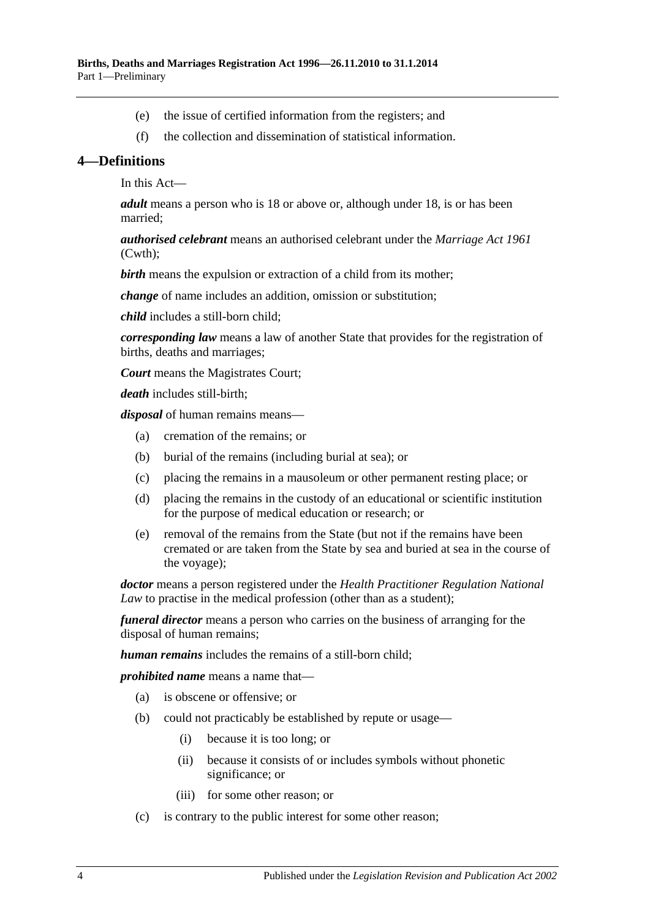- (e) the issue of certified information from the registers; and
- (f) the collection and dissemination of statistical information.

#### <span id="page-3-0"></span>**4—Definitions**

In this Act—

*adult* means a person who is 18 or above or, although under 18, is or has been married;

*authorised celebrant* means an authorised celebrant under the *Marriage Act 1961* (Cwth);

*birth* means the expulsion or extraction of a child from its mother;

*change* of name includes an addition, omission or substitution;

*child* includes a still-born child;

*corresponding law* means a law of another State that provides for the registration of births, deaths and marriages;

*Court* means the Magistrates Court;

*death* includes still-birth;

*disposal* of human remains means—

- (a) cremation of the remains; or
- (b) burial of the remains (including burial at sea); or
- (c) placing the remains in a mausoleum or other permanent resting place; or
- (d) placing the remains in the custody of an educational or scientific institution for the purpose of medical education or research; or
- (e) removal of the remains from the State (but not if the remains have been cremated or are taken from the State by sea and buried at sea in the course of the voyage);

*doctor* means a person registered under the *Health Practitioner Regulation National Law* to practise in the medical profession (other than as a student);

*funeral director* means a person who carries on the business of arranging for the disposal of human remains;

*human remains* includes the remains of a still-born child;

*prohibited name* means a name that—

- (a) is obscene or offensive; or
- (b) could not practicably be established by repute or usage—
	- (i) because it is too long; or
	- (ii) because it consists of or includes symbols without phonetic significance; or
	- (iii) for some other reason; or
- (c) is contrary to the public interest for some other reason;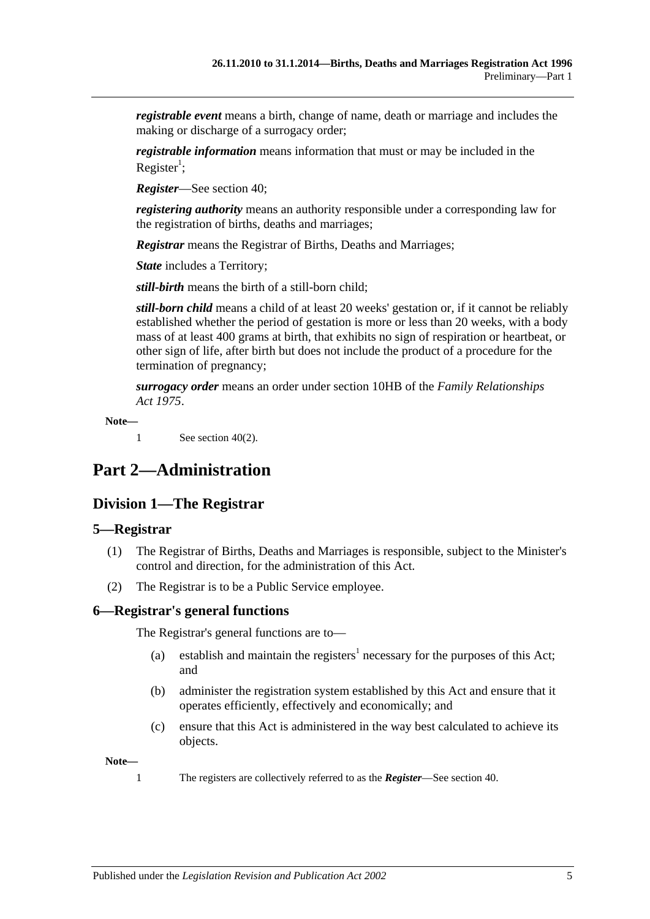*registrable event* means a birth, change of name, death or marriage and includes the making or discharge of a surrogacy order;

*registrable information* means information that must or may be included in the Register<sup>1</sup>;

*Register*—See [section](#page-15-4) 40;

*registering authority* means an authority responsible under a corresponding law for the registration of births, deaths and marriages;

*Registrar* means the Registrar of Births, Deaths and Marriages;

*State* includes a Territory;

*still-birth* means the birth of a still-born child;

*still-born child* means a child of at least 20 weeks' gestation or, if it cannot be reliably established whether the period of gestation is more or less than 20 weeks, with a body mass of at least 400 grams at birth, that exhibits no sign of respiration or heartbeat, or other sign of life, after birth but does not include the product of a procedure for the termination of pregnancy;

*surrogacy order* means an order under section 10HB of the *[Family Relationships](http://www.legislation.sa.gov.au/index.aspx?action=legref&type=act&legtitle=Family%20Relationships%20Act%201975)  Act [1975](http://www.legislation.sa.gov.au/index.aspx?action=legref&type=act&legtitle=Family%20Relationships%20Act%201975)*.

**Note—**

1 See [section](#page-15-7) 40(2).

## <span id="page-4-1"></span><span id="page-4-0"></span>**Part 2—Administration**

### **Division 1—The Registrar**

#### <span id="page-4-2"></span>**5—Registrar**

- (1) The Registrar of Births, Deaths and Marriages is responsible, subject to the Minister's control and direction, for the administration of this Act.
- (2) The Registrar is to be a Public Service employee.

#### <span id="page-4-3"></span>**6—Registrar's general functions**

The Registrar's general functions are to—

- (a) establish and maintain the registers<sup>1</sup> necessary for the purposes of this Act; and
- (b) administer the registration system established by this Act and ensure that it operates efficiently, effectively and economically; and
- (c) ensure that this Act is administered in the way best calculated to achieve its objects.

**Note—**

1 The registers are collectively referred to as the *Register*—See [section](#page-15-4) 40.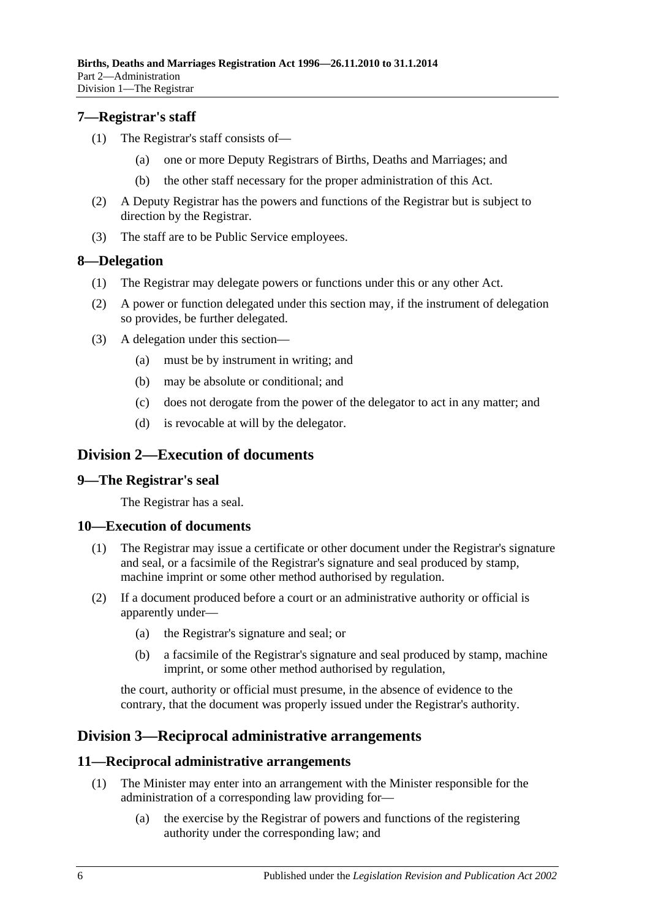#### <span id="page-5-0"></span>**7—Registrar's staff**

- (1) The Registrar's staff consists of—
	- (a) one or more Deputy Registrars of Births, Deaths and Marriages; and
	- (b) the other staff necessary for the proper administration of this Act.
- (2) A Deputy Registrar has the powers and functions of the Registrar but is subject to direction by the Registrar.
- (3) The staff are to be Public Service employees.

#### <span id="page-5-1"></span>**8—Delegation**

- (1) The Registrar may delegate powers or functions under this or any other Act.
- (2) A power or function delegated under this section may, if the instrument of delegation so provides, be further delegated.
- (3) A delegation under this section—
	- (a) must be by instrument in writing; and
	- (b) may be absolute or conditional; and
	- (c) does not derogate from the power of the delegator to act in any matter; and
	- (d) is revocable at will by the delegator.

### <span id="page-5-2"></span>**Division 2—Execution of documents**

#### <span id="page-5-3"></span>**9—The Registrar's seal**

The Registrar has a seal.

#### <span id="page-5-4"></span>**10—Execution of documents**

- (1) The Registrar may issue a certificate or other document under the Registrar's signature and seal, or a facsimile of the Registrar's signature and seal produced by stamp, machine imprint or some other method authorised by regulation.
- (2) If a document produced before a court or an administrative authority or official is apparently under—
	- (a) the Registrar's signature and seal; or
	- (b) a facsimile of the Registrar's signature and seal produced by stamp, machine imprint, or some other method authorised by regulation,

the court, authority or official must presume, in the absence of evidence to the contrary, that the document was properly issued under the Registrar's authority.

### <span id="page-5-5"></span>**Division 3—Reciprocal administrative arrangements**

#### <span id="page-5-6"></span>**11—Reciprocal administrative arrangements**

- (1) The Minister may enter into an arrangement with the Minister responsible for the administration of a corresponding law providing for—
	- (a) the exercise by the Registrar of powers and functions of the registering authority under the corresponding law; and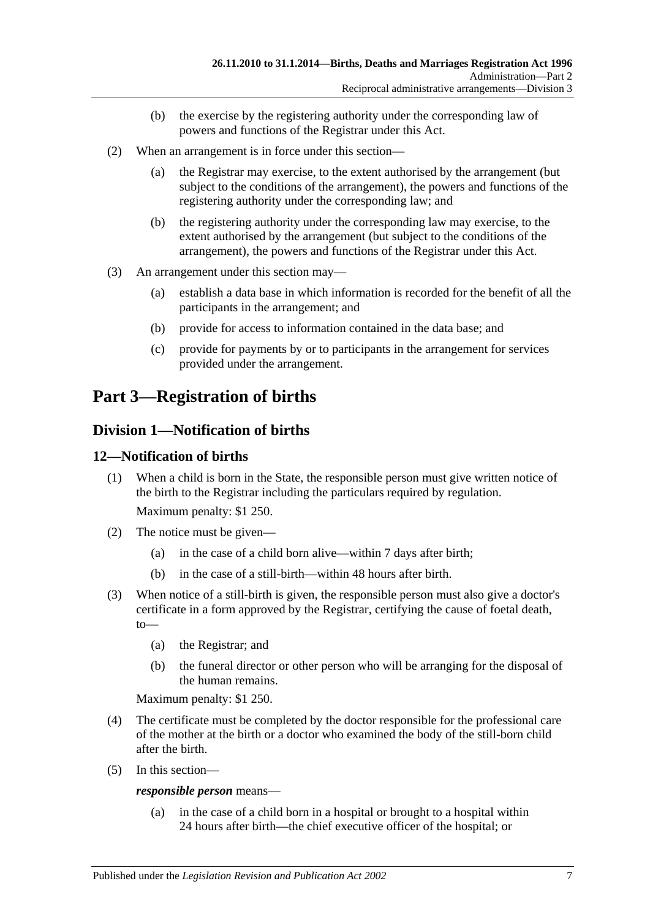- (b) the exercise by the registering authority under the corresponding law of powers and functions of the Registrar under this Act.
- (2) When an arrangement is in force under this section—
	- (a) the Registrar may exercise, to the extent authorised by the arrangement (but subject to the conditions of the arrangement), the powers and functions of the registering authority under the corresponding law; and
	- (b) the registering authority under the corresponding law may exercise, to the extent authorised by the arrangement (but subject to the conditions of the arrangement), the powers and functions of the Registrar under this Act.
- (3) An arrangement under this section may—
	- (a) establish a data base in which information is recorded for the benefit of all the participants in the arrangement; and
	- (b) provide for access to information contained in the data base; and
	- (c) provide for payments by or to participants in the arrangement for services provided under the arrangement.

## <span id="page-6-0"></span>**Part 3—Registration of births**

### <span id="page-6-1"></span>**Division 1—Notification of births**

#### <span id="page-6-2"></span>**12—Notification of births**

(1) When a child is born in the State, the responsible person must give written notice of the birth to the Registrar including the particulars required by regulation.

Maximum penalty: \$1 250.

- (2) The notice must be given—
	- (a) in the case of a child born alive—within 7 days after birth;
	- (b) in the case of a still-birth—within 48 hours after birth.
- (3) When notice of a still-birth is given, the responsible person must also give a doctor's certificate in a form approved by the Registrar, certifying the cause of foetal death, to—
	- (a) the Registrar; and
	- (b) the funeral director or other person who will be arranging for the disposal of the human remains.

Maximum penalty: \$1 250.

- (4) The certificate must be completed by the doctor responsible for the professional care of the mother at the birth or a doctor who examined the body of the still-born child after the birth.
- (5) In this section—

*responsible person* means—

(a) in the case of a child born in a hospital or brought to a hospital within 24 hours after birth—the chief executive officer of the hospital; or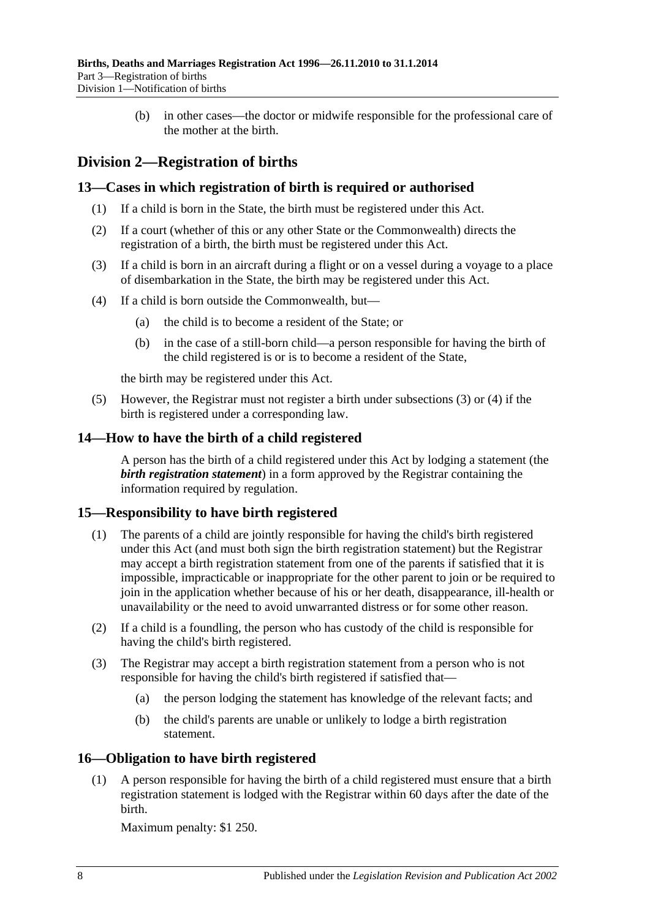(b) in other cases—the doctor or midwife responsible for the professional care of the mother at the birth.

### <span id="page-7-0"></span>**Division 2—Registration of births**

#### <span id="page-7-1"></span>**13—Cases in which registration of birth is required or authorised**

- (1) If a child is born in the State, the birth must be registered under this Act.
- (2) If a court (whether of this or any other State or the Commonwealth) directs the registration of a birth, the birth must be registered under this Act.
- <span id="page-7-5"></span>(3) If a child is born in an aircraft during a flight or on a vessel during a voyage to a place of disembarkation in the State, the birth may be registered under this Act.
- <span id="page-7-6"></span>(4) If a child is born outside the Commonwealth, but—
	- (a) the child is to become a resident of the State; or
	- (b) in the case of a still-born child—a person responsible for having the birth of the child registered is or is to become a resident of the State,

the birth may be registered under this Act.

(5) However, the Registrar must not register a birth under [subsections](#page-7-5) (3) or [\(4\)](#page-7-6) if the birth is registered under a corresponding law.

#### <span id="page-7-2"></span>**14—How to have the birth of a child registered**

A person has the birth of a child registered under this Act by lodging a statement (the *birth registration statement*) in a form approved by the Registrar containing the information required by regulation.

#### <span id="page-7-3"></span>**15—Responsibility to have birth registered**

- (1) The parents of a child are jointly responsible for having the child's birth registered under this Act (and must both sign the birth registration statement) but the Registrar may accept a birth registration statement from one of the parents if satisfied that it is impossible, impracticable or inappropriate for the other parent to join or be required to join in the application whether because of his or her death, disappearance, ill-health or unavailability or the need to avoid unwarranted distress or for some other reason.
- (2) If a child is a foundling, the person who has custody of the child is responsible for having the child's birth registered.
- (3) The Registrar may accept a birth registration statement from a person who is not responsible for having the child's birth registered if satisfied that—
	- (a) the person lodging the statement has knowledge of the relevant facts; and
	- (b) the child's parents are unable or unlikely to lodge a birth registration statement.

#### <span id="page-7-4"></span>**16—Obligation to have birth registered**

(1) A person responsible for having the birth of a child registered must ensure that a birth registration statement is lodged with the Registrar within 60 days after the date of the birth.

Maximum penalty: \$1 250.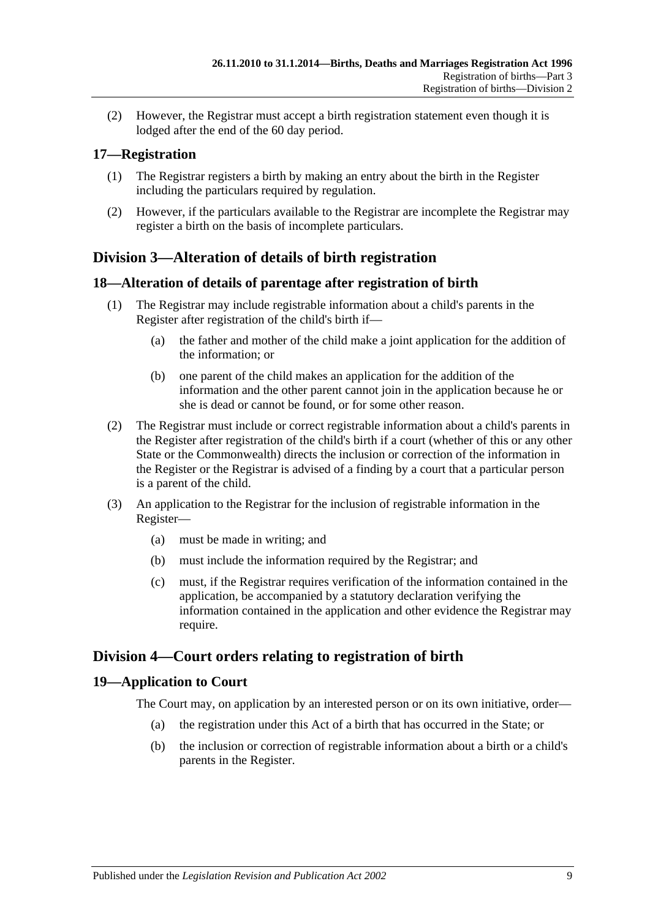(2) However, the Registrar must accept a birth registration statement even though it is lodged after the end of the 60 day period.

### <span id="page-8-0"></span>**17—Registration**

- (1) The Registrar registers a birth by making an entry about the birth in the Register including the particulars required by regulation.
- (2) However, if the particulars available to the Registrar are incomplete the Registrar may register a birth on the basis of incomplete particulars.

### <span id="page-8-1"></span>**Division 3—Alteration of details of birth registration**

#### <span id="page-8-2"></span>**18—Alteration of details of parentage after registration of birth**

- (1) The Registrar may include registrable information about a child's parents in the Register after registration of the child's birth if—
	- (a) the father and mother of the child make a joint application for the addition of the information; or
	- (b) one parent of the child makes an application for the addition of the information and the other parent cannot join in the application because he or she is dead or cannot be found, or for some other reason.
- (2) The Registrar must include or correct registrable information about a child's parents in the Register after registration of the child's birth if a court (whether of this or any other State or the Commonwealth) directs the inclusion or correction of the information in the Register or the Registrar is advised of a finding by a court that a particular person is a parent of the child.
- (3) An application to the Registrar for the inclusion of registrable information in the Register—
	- (a) must be made in writing; and
	- (b) must include the information required by the Registrar; and
	- (c) must, if the Registrar requires verification of the information contained in the application, be accompanied by a statutory declaration verifying the information contained in the application and other evidence the Registrar may require.

### <span id="page-8-3"></span>**Division 4—Court orders relating to registration of birth**

#### <span id="page-8-4"></span>**19—Application to Court**

The Court may, on application by an interested person or on its own initiative, order—

- (a) the registration under this Act of a birth that has occurred in the State; or
- (b) the inclusion or correction of registrable information about a birth or a child's parents in the Register.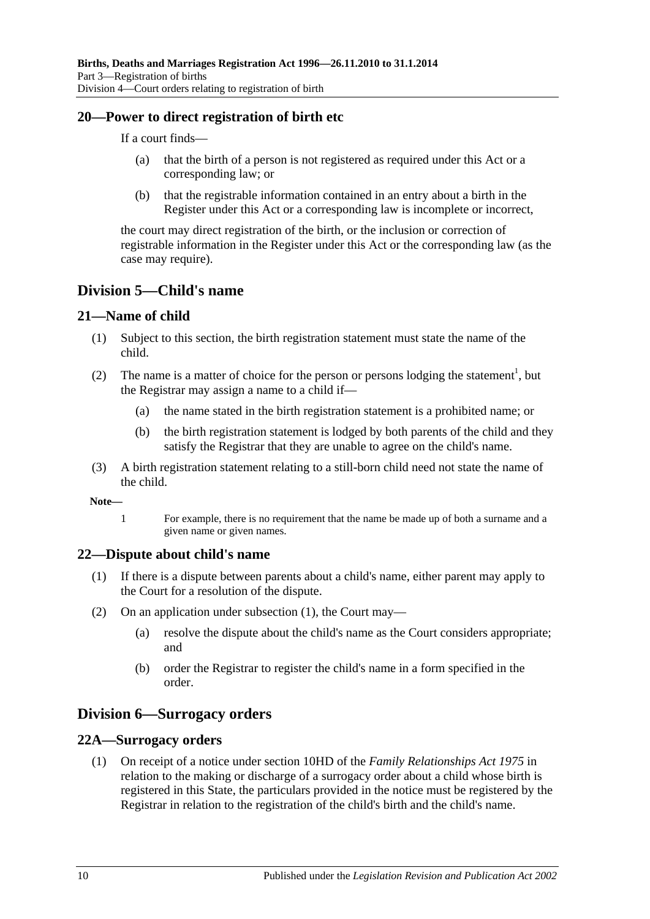#### <span id="page-9-0"></span>**20—Power to direct registration of birth etc**

If a court finds—

- (a) that the birth of a person is not registered as required under this Act or a corresponding law; or
- (b) that the registrable information contained in an entry about a birth in the Register under this Act or a corresponding law is incomplete or incorrect,

the court may direct registration of the birth, or the inclusion or correction of registrable information in the Register under this Act or the corresponding law (as the case may require).

### <span id="page-9-1"></span>**Division 5—Child's name**

#### <span id="page-9-2"></span>**21—Name of child**

- (1) Subject to this section, the birth registration statement must state the name of the child.
- (2) The name is a matter of choice for the person or persons lodging the statement<sup>1</sup>, but the Registrar may assign a name to a child if—
	- (a) the name stated in the birth registration statement is a prohibited name; or
	- (b) the birth registration statement is lodged by both parents of the child and they satisfy the Registrar that they are unable to agree on the child's name.
- (3) A birth registration statement relating to a still-born child need not state the name of the child.

**Note—**

1 For example, there is no requirement that the name be made up of both a surname and a given name or given names.

#### <span id="page-9-6"></span><span id="page-9-3"></span>**22—Dispute about child's name**

- (1) If there is a dispute between parents about a child's name, either parent may apply to the Court for a resolution of the dispute.
- (2) On an application under [subsection](#page-9-6) (1), the Court may—
	- (a) resolve the dispute about the child's name as the Court considers appropriate; and
	- (b) order the Registrar to register the child's name in a form specified in the order.

### <span id="page-9-4"></span>**Division 6—Surrogacy orders**

#### <span id="page-9-7"></span><span id="page-9-5"></span>**22A—Surrogacy orders**

(1) On receipt of a notice under section 10HD of the *[Family Relationships Act](http://www.legislation.sa.gov.au/index.aspx?action=legref&type=act&legtitle=Family%20Relationships%20Act%201975) 1975* in relation to the making or discharge of a surrogacy order about a child whose birth is registered in this State, the particulars provided in the notice must be registered by the Registrar in relation to the registration of the child's birth and the child's name.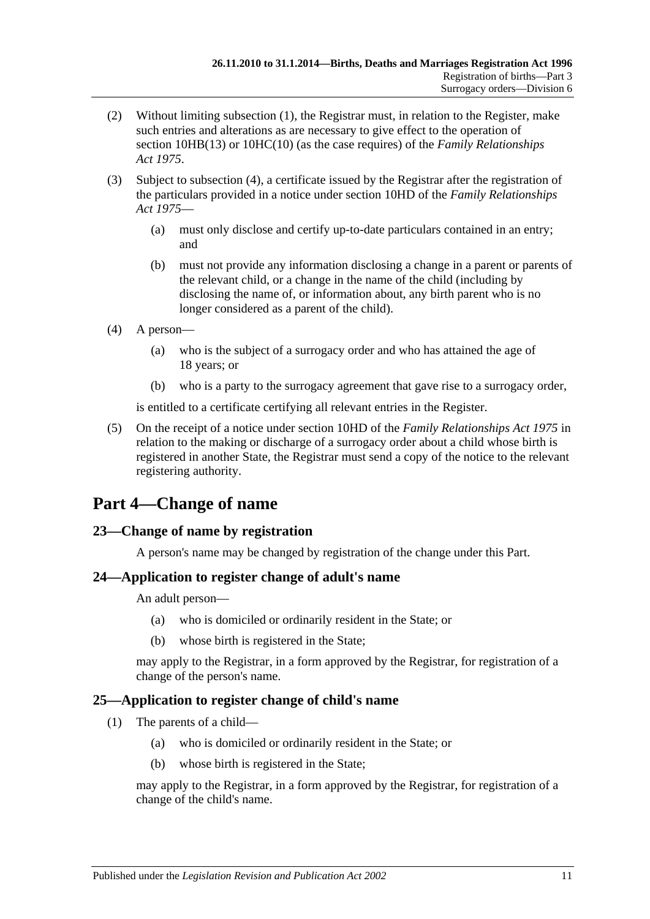- (2) Without limiting [subsection](#page-9-7) (1), the Registrar must, in relation to the Register, make such entries and alterations as are necessary to give effect to the operation of section 10HB(13) or 10HC(10) (as the case requires) of the *[Family Relationships](http://www.legislation.sa.gov.au/index.aspx?action=legref&type=act&legtitle=Family%20Relationships%20Act%201975)  Act [1975](http://www.legislation.sa.gov.au/index.aspx?action=legref&type=act&legtitle=Family%20Relationships%20Act%201975)*.
- (3) Subject to [subsection](#page-10-4) (4), a certificate issued by the Registrar after the registration of the particulars provided in a notice under section 10HD of the *[Family Relationships](http://www.legislation.sa.gov.au/index.aspx?action=legref&type=act&legtitle=Family%20Relationships%20Act%201975)  Act [1975](http://www.legislation.sa.gov.au/index.aspx?action=legref&type=act&legtitle=Family%20Relationships%20Act%201975)*—
	- (a) must only disclose and certify up-to-date particulars contained in an entry; and
	- (b) must not provide any information disclosing a change in a parent or parents of the relevant child, or a change in the name of the child (including by disclosing the name of, or information about, any birth parent who is no longer considered as a parent of the child).
- <span id="page-10-4"></span>(4) A person—
	- (a) who is the subject of a surrogacy order and who has attained the age of 18 years; or
	- (b) who is a party to the surrogacy agreement that gave rise to a surrogacy order,

is entitled to a certificate certifying all relevant entries in the Register.

(5) On the receipt of a notice under section 10HD of the *[Family Relationships Act](http://www.legislation.sa.gov.au/index.aspx?action=legref&type=act&legtitle=Family%20Relationships%20Act%201975) 1975* in relation to the making or discharge of a surrogacy order about a child whose birth is registered in another State, the Registrar must send a copy of the notice to the relevant registering authority.

## <span id="page-10-0"></span>**Part 4—Change of name**

### <span id="page-10-1"></span>**23—Change of name by registration**

A person's name may be changed by registration of the change under this Part.

#### <span id="page-10-2"></span>**24—Application to register change of adult's name**

An adult person—

- (a) who is domiciled or ordinarily resident in the State; or
- (b) whose birth is registered in the State;

may apply to the Registrar, in a form approved by the Registrar, for registration of a change of the person's name.

### <span id="page-10-3"></span>**25—Application to register change of child's name**

- (1) The parents of a child—
	- (a) who is domiciled or ordinarily resident in the State; or
	- (b) whose birth is registered in the State;

may apply to the Registrar, in a form approved by the Registrar, for registration of a change of the child's name.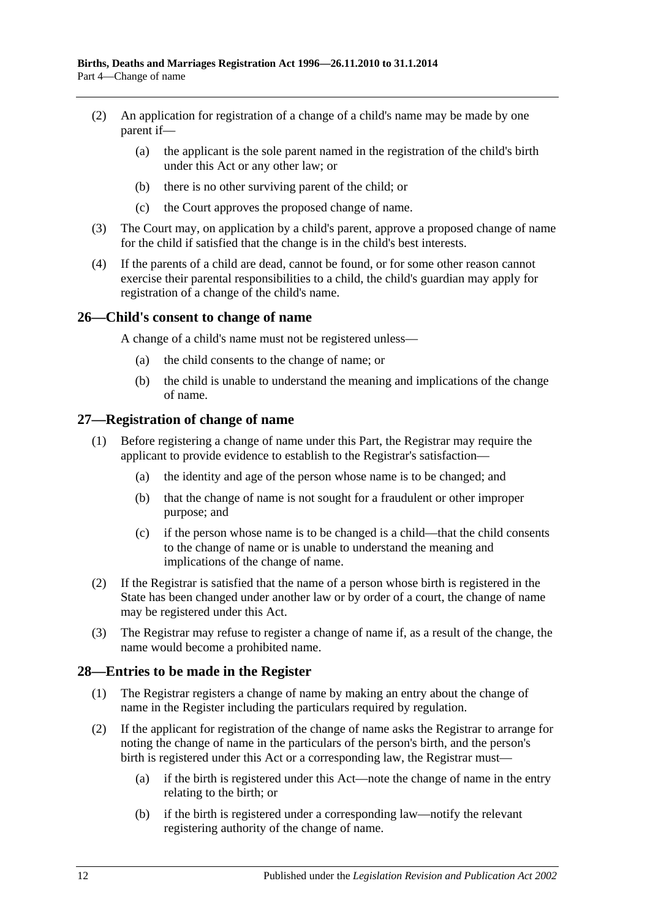- (2) An application for registration of a change of a child's name may be made by one parent if—
	- (a) the applicant is the sole parent named in the registration of the child's birth under this Act or any other law; or
	- (b) there is no other surviving parent of the child; or
	- (c) the Court approves the proposed change of name.
- (3) The Court may, on application by a child's parent, approve a proposed change of name for the child if satisfied that the change is in the child's best interests.
- (4) If the parents of a child are dead, cannot be found, or for some other reason cannot exercise their parental responsibilities to a child, the child's guardian may apply for registration of a change of the child's name.

#### <span id="page-11-0"></span>**26—Child's consent to change of name**

A change of a child's name must not be registered unless—

- (a) the child consents to the change of name; or
- (b) the child is unable to understand the meaning and implications of the change of name.

#### <span id="page-11-1"></span>**27—Registration of change of name**

- (1) Before registering a change of name under this Part, the Registrar may require the applicant to provide evidence to establish to the Registrar's satisfaction—
	- (a) the identity and age of the person whose name is to be changed; and
	- (b) that the change of name is not sought for a fraudulent or other improper purpose; and
	- (c) if the person whose name is to be changed is a child—that the child consents to the change of name or is unable to understand the meaning and implications of the change of name.
- (2) If the Registrar is satisfied that the name of a person whose birth is registered in the State has been changed under another law or by order of a court, the change of name may be registered under this Act.
- (3) The Registrar may refuse to register a change of name if, as a result of the change, the name would become a prohibited name.

#### <span id="page-11-2"></span>**28—Entries to be made in the Register**

- (1) The Registrar registers a change of name by making an entry about the change of name in the Register including the particulars required by regulation.
- <span id="page-11-3"></span>(2) If the applicant for registration of the change of name asks the Registrar to arrange for noting the change of name in the particulars of the person's birth, and the person's birth is registered under this Act or a corresponding law, the Registrar must—
	- (a) if the birth is registered under this Act—note the change of name in the entry relating to the birth; or
	- (b) if the birth is registered under a corresponding law—notify the relevant registering authority of the change of name.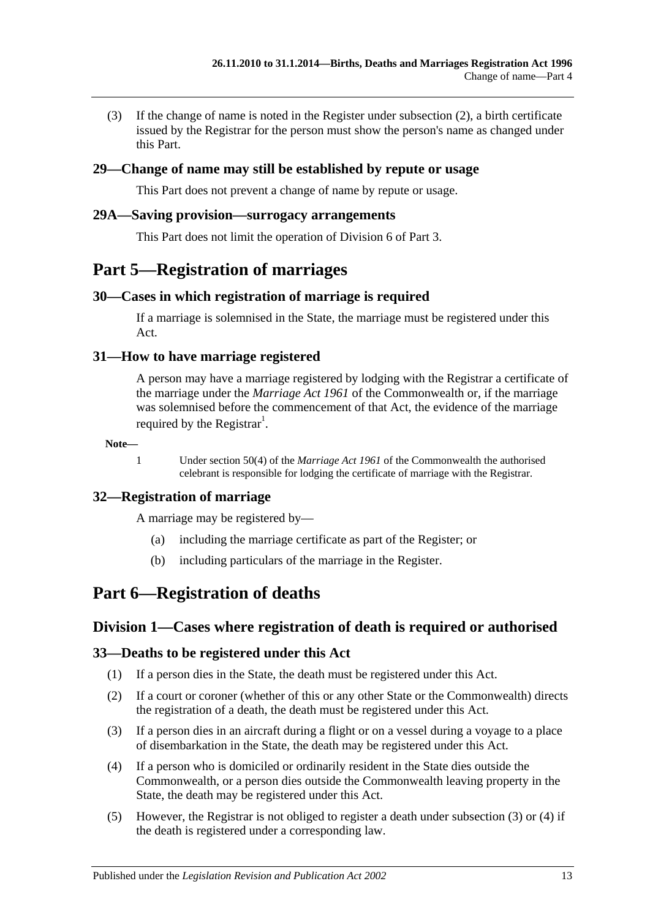(3) If the change of name is noted in the Register under [subsection](#page-11-3) (2), a birth certificate issued by the Registrar for the person must show the person's name as changed under this Part.

#### <span id="page-12-0"></span>**29—Change of name may still be established by repute or usage**

This Part does not prevent a change of name by repute or usage.

#### <span id="page-12-1"></span>**29A—Saving provision—surrogacy arrangements**

This Part does not limit the operation of [Division 6](#page-9-4) of [Part 3.](#page-6-0)

### <span id="page-12-2"></span>**Part 5—Registration of marriages**

#### <span id="page-12-3"></span>**30—Cases in which registration of marriage is required**

If a marriage is solemnised in the State, the marriage must be registered under this Act.

#### <span id="page-12-4"></span>**31—How to have marriage registered**

A person may have a marriage registered by lodging with the Registrar a certificate of the marriage under the *Marriage Act 1961* of the Commonwealth or, if the marriage was solemnised before the commencement of that Act, the evidence of the marriage required by the Registrar<sup>1</sup>.

**Note—**

1 Under section 50(4) of the *Marriage Act 1961* of the Commonwealth the authorised celebrant is responsible for lodging the certificate of marriage with the Registrar.

#### <span id="page-12-5"></span>**32—Registration of marriage**

A marriage may be registered by—

- (a) including the marriage certificate as part of the Register; or
- (b) including particulars of the marriage in the Register.

### <span id="page-12-7"></span><span id="page-12-6"></span>**Part 6—Registration of deaths**

#### **Division 1—Cases where registration of death is required or authorised**

#### <span id="page-12-8"></span>**33—Deaths to be registered under this Act**

- (1) If a person dies in the State, the death must be registered under this Act.
- (2) If a court or coroner (whether of this or any other State or the Commonwealth) directs the registration of a death, the death must be registered under this Act.
- <span id="page-12-9"></span>(3) If a person dies in an aircraft during a flight or on a vessel during a voyage to a place of disembarkation in the State, the death may be registered under this Act.
- <span id="page-12-10"></span>(4) If a person who is domiciled or ordinarily resident in the State dies outside the Commonwealth, or a person dies outside the Commonwealth leaving property in the State, the death may be registered under this Act.
- (5) However, the Registrar is not obliged to register a death under [subsection](#page-12-9) (3) or [\(4\)](#page-12-10) if the death is registered under a corresponding law.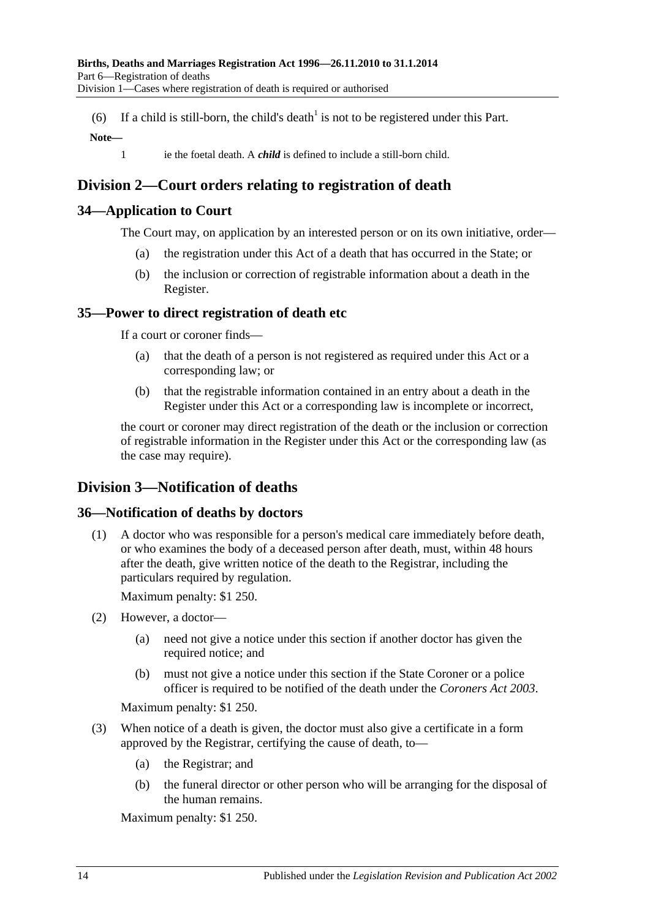(6) If a child is still-born, the child's death<sup>1</sup> is not to be registered under this Part.

#### **Note—**

1 ie the foetal death. A *child* is defined to include a still-born child.

### <span id="page-13-0"></span>**Division 2—Court orders relating to registration of death**

#### <span id="page-13-1"></span>**34—Application to Court**

The Court may, on application by an interested person or on its own initiative, order—

- (a) the registration under this Act of a death that has occurred in the State; or
- (b) the inclusion or correction of registrable information about a death in the Register.

#### <span id="page-13-2"></span>**35—Power to direct registration of death etc**

If a court or coroner finds—

- (a) that the death of a person is not registered as required under this Act or a corresponding law; or
- (b) that the registrable information contained in an entry about a death in the Register under this Act or a corresponding law is incomplete or incorrect,

the court or coroner may direct registration of the death or the inclusion or correction of registrable information in the Register under this Act or the corresponding law (as the case may require).

### <span id="page-13-3"></span>**Division 3—Notification of deaths**

#### <span id="page-13-4"></span>**36—Notification of deaths by doctors**

(1) A doctor who was responsible for a person's medical care immediately before death, or who examines the body of a deceased person after death, must, within 48 hours after the death, give written notice of the death to the Registrar, including the particulars required by regulation.

Maximum penalty: \$1 250.

- (2) However, a doctor—
	- (a) need not give a notice under this section if another doctor has given the required notice; and
	- (b) must not give a notice under this section if the State Coroner or a police officer is required to be notified of the death under the *[Coroners Act](http://www.legislation.sa.gov.au/index.aspx?action=legref&type=act&legtitle=Coroners%20Act%202003) 2003*.

Maximum penalty: \$1 250.

- (3) When notice of a death is given, the doctor must also give a certificate in a form approved by the Registrar, certifying the cause of death, to—
	- (a) the Registrar; and
	- (b) the funeral director or other person who will be arranging for the disposal of the human remains.

Maximum penalty: \$1 250.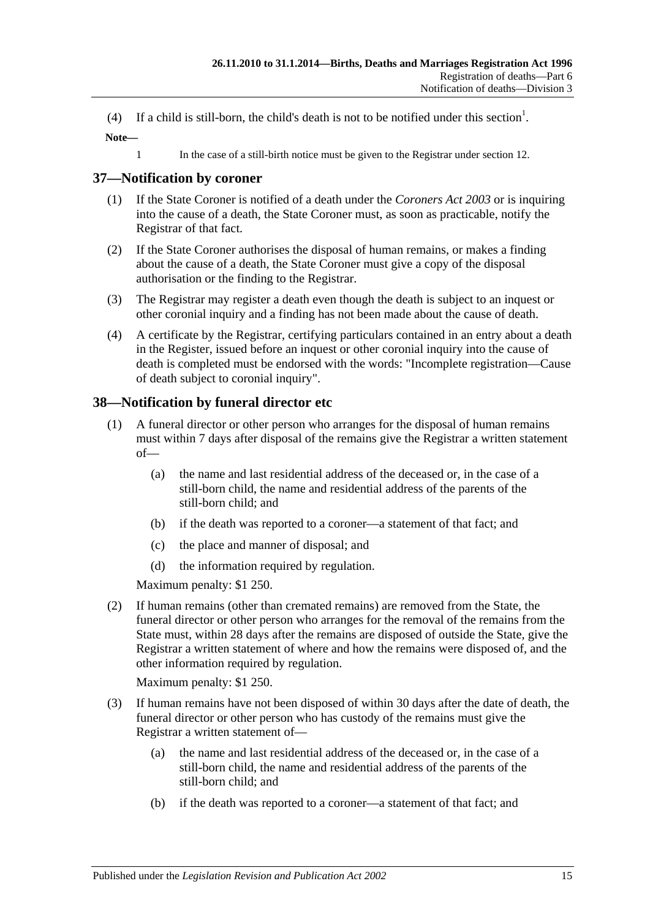(4) If a child is still-born, the child's death is not to be notified under this section<sup>1</sup>.

**Note—**

1 In the case of a still-birth notice must be given to the Registrar under [section](#page-6-2) 12.

### <span id="page-14-0"></span>**37—Notification by coroner**

- (1) If the State Coroner is notified of a death under the *[Coroners Act](http://www.legislation.sa.gov.au/index.aspx?action=legref&type=act&legtitle=Coroners%20Act%202003) 2003* or is inquiring into the cause of a death, the State Coroner must, as soon as practicable, notify the Registrar of that fact.
- (2) If the State Coroner authorises the disposal of human remains, or makes a finding about the cause of a death, the State Coroner must give a copy of the disposal authorisation or the finding to the Registrar.
- (3) The Registrar may register a death even though the death is subject to an inquest or other coronial inquiry and a finding has not been made about the cause of death.
- (4) A certificate by the Registrar, certifying particulars contained in an entry about a death in the Register, issued before an inquest or other coronial inquiry into the cause of death is completed must be endorsed with the words: "Incomplete registration—Cause of death subject to coronial inquiry".

### <span id="page-14-1"></span>**38—Notification by funeral director etc**

- (1) A funeral director or other person who arranges for the disposal of human remains must within 7 days after disposal of the remains give the Registrar a written statement of—
	- (a) the name and last residential address of the deceased or, in the case of a still-born child, the name and residential address of the parents of the still-born child; and
	- (b) if the death was reported to a coroner—a statement of that fact; and
	- (c) the place and manner of disposal; and
	- (d) the information required by regulation.

Maximum penalty: \$1 250.

(2) If human remains (other than cremated remains) are removed from the State, the funeral director or other person who arranges for the removal of the remains from the State must, within 28 days after the remains are disposed of outside the State, give the Registrar a written statement of where and how the remains were disposed of, and the other information required by regulation.

Maximum penalty: \$1 250.

- (3) If human remains have not been disposed of within 30 days after the date of death, the funeral director or other person who has custody of the remains must give the Registrar a written statement of—
	- (a) the name and last residential address of the deceased or, in the case of a still-born child, the name and residential address of the parents of the still-born child; and
	- (b) if the death was reported to a coroner—a statement of that fact; and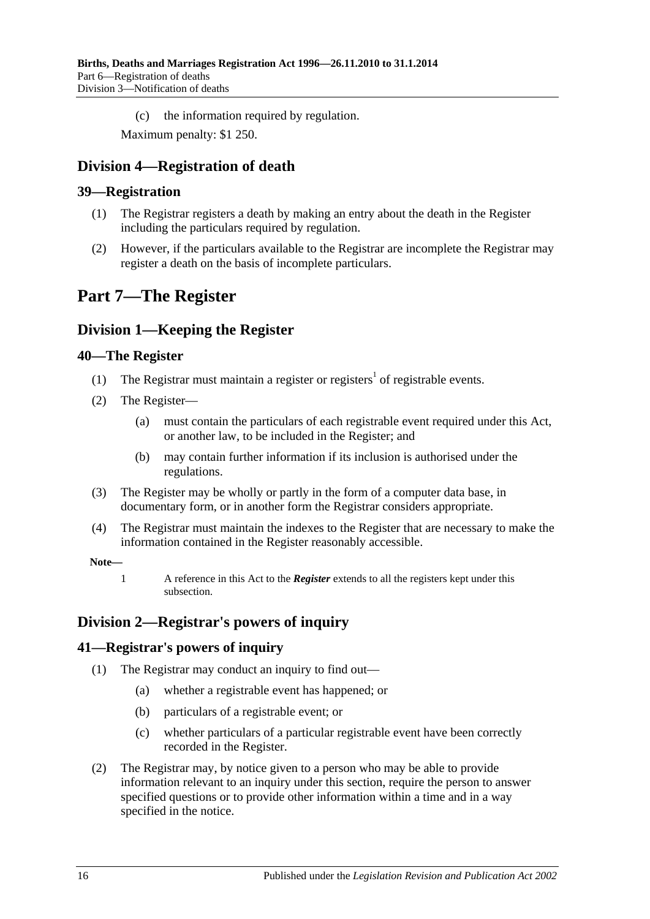(c) the information required by regulation.

Maximum penalty: \$1 250.

### <span id="page-15-0"></span>**Division 4—Registration of death**

#### <span id="page-15-1"></span>**39—Registration**

- (1) The Registrar registers a death by making an entry about the death in the Register including the particulars required by regulation.
- (2) However, if the particulars available to the Registrar are incomplete the Registrar may register a death on the basis of incomplete particulars.

## <span id="page-15-2"></span>**Part 7—The Register**

### <span id="page-15-3"></span>**Division 1—Keeping the Register**

#### <span id="page-15-4"></span>**40—The Register**

- (1) The Registrar must maintain a register or registers<sup>1</sup> of registrable events.
- <span id="page-15-7"></span>(2) The Register—
	- (a) must contain the particulars of each registrable event required under this Act, or another law, to be included in the Register; and
	- (b) may contain further information if its inclusion is authorised under the regulations.
- (3) The Register may be wholly or partly in the form of a computer data base, in documentary form, or in another form the Registrar considers appropriate.
- (4) The Registrar must maintain the indexes to the Register that are necessary to make the information contained in the Register reasonably accessible.

#### **Note—**

1 A reference in this Act to the *Register* extends to all the registers kept under this subsection.

### <span id="page-15-5"></span>**Division 2—Registrar's powers of inquiry**

#### <span id="page-15-6"></span>**41—Registrar's powers of inquiry**

- (1) The Registrar may conduct an inquiry to find out—
	- (a) whether a registrable event has happened; or
	- (b) particulars of a registrable event; or
	- (c) whether particulars of a particular registrable event have been correctly recorded in the Register.
- <span id="page-15-8"></span>(2) The Registrar may, by notice given to a person who may be able to provide information relevant to an inquiry under this section, require the person to answer specified questions or to provide other information within a time and in a way specified in the notice.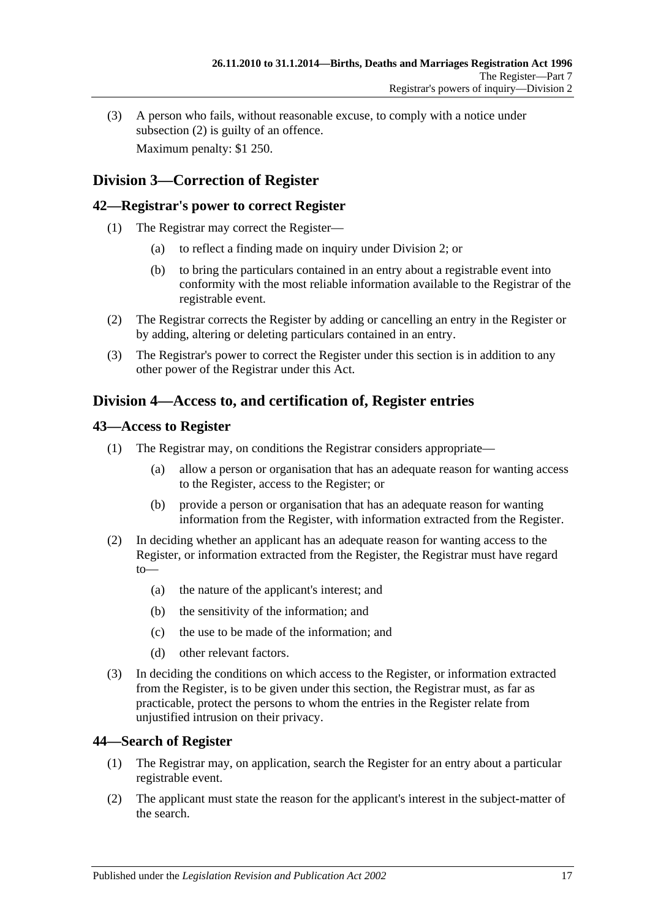(3) A person who fails, without reasonable excuse, to comply with a notice under [subsection](#page-15-8) (2) is guilty of an offence. Maximum penalty: \$1 250.

### <span id="page-16-0"></span>**Division 3—Correction of Register**

#### <span id="page-16-1"></span>**42—Registrar's power to correct Register**

- (1) The Registrar may correct the Register—
	- (a) to reflect a finding made on inquiry under [Division 2;](#page-15-5) or
	- (b) to bring the particulars contained in an entry about a registrable event into conformity with the most reliable information available to the Registrar of the registrable event.
- (2) The Registrar corrects the Register by adding or cancelling an entry in the Register or by adding, altering or deleting particulars contained in an entry.
- (3) The Registrar's power to correct the Register under this section is in addition to any other power of the Registrar under this Act.

### <span id="page-16-2"></span>**Division 4—Access to, and certification of, Register entries**

#### <span id="page-16-3"></span>**43—Access to Register**

- (1) The Registrar may, on conditions the Registrar considers appropriate—
	- (a) allow a person or organisation that has an adequate reason for wanting access to the Register, access to the Register; or
	- (b) provide a person or organisation that has an adequate reason for wanting information from the Register, with information extracted from the Register.
- (2) In deciding whether an applicant has an adequate reason for wanting access to the Register, or information extracted from the Register, the Registrar must have regard to—
	- (a) the nature of the applicant's interest; and
	- (b) the sensitivity of the information; and
	- (c) the use to be made of the information; and
	- (d) other relevant factors.
- (3) In deciding the conditions on which access to the Register, or information extracted from the Register, is to be given under this section, the Registrar must, as far as practicable, protect the persons to whom the entries in the Register relate from unjustified intrusion on their privacy.

#### <span id="page-16-4"></span>**44—Search of Register**

- (1) The Registrar may, on application, search the Register for an entry about a particular registrable event.
- (2) The applicant must state the reason for the applicant's interest in the subject-matter of the search.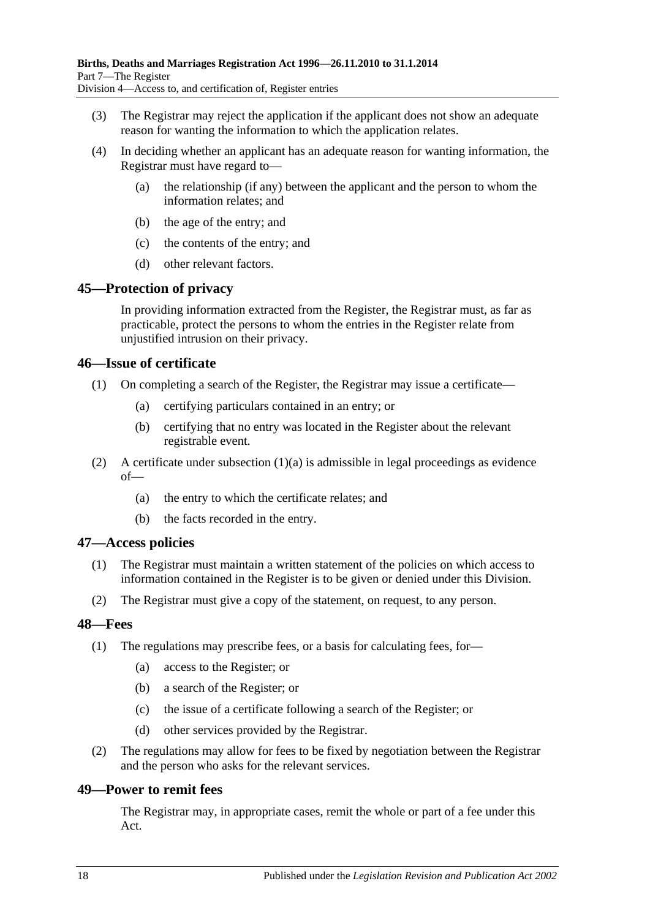- (3) The Registrar may reject the application if the applicant does not show an adequate reason for wanting the information to which the application relates.
- (4) In deciding whether an applicant has an adequate reason for wanting information, the Registrar must have regard to—
	- (a) the relationship (if any) between the applicant and the person to whom the information relates; and
	- (b) the age of the entry; and
	- (c) the contents of the entry; and
	- (d) other relevant factors.

#### <span id="page-17-0"></span>**45—Protection of privacy**

In providing information extracted from the Register, the Registrar must, as far as practicable, protect the persons to whom the entries in the Register relate from unjustified intrusion on their privacy.

#### <span id="page-17-1"></span>**46—Issue of certificate**

- <span id="page-17-5"></span>(1) On completing a search of the Register, the Registrar may issue a certificate—
	- (a) certifying particulars contained in an entry; or
	- (b) certifying that no entry was located in the Register about the relevant registrable event.
- (2) A certificate under [subsection](#page-17-5)  $(1)(a)$  is admissible in legal proceedings as evidence of—
	- (a) the entry to which the certificate relates; and
	- (b) the facts recorded in the entry.

#### <span id="page-17-2"></span>**47—Access policies**

- (1) The Registrar must maintain a written statement of the policies on which access to information contained in the Register is to be given or denied under this Division.
- (2) The Registrar must give a copy of the statement, on request, to any person.

#### <span id="page-17-3"></span>**48—Fees**

- (1) The regulations may prescribe fees, or a basis for calculating fees, for—
	- (a) access to the Register; or
	- (b) a search of the Register; or
	- (c) the issue of a certificate following a search of the Register; or
	- (d) other services provided by the Registrar.
- (2) The regulations may allow for fees to be fixed by negotiation between the Registrar and the person who asks for the relevant services.

#### <span id="page-17-4"></span>**49—Power to remit fees**

The Registrar may, in appropriate cases, remit the whole or part of a fee under this Act.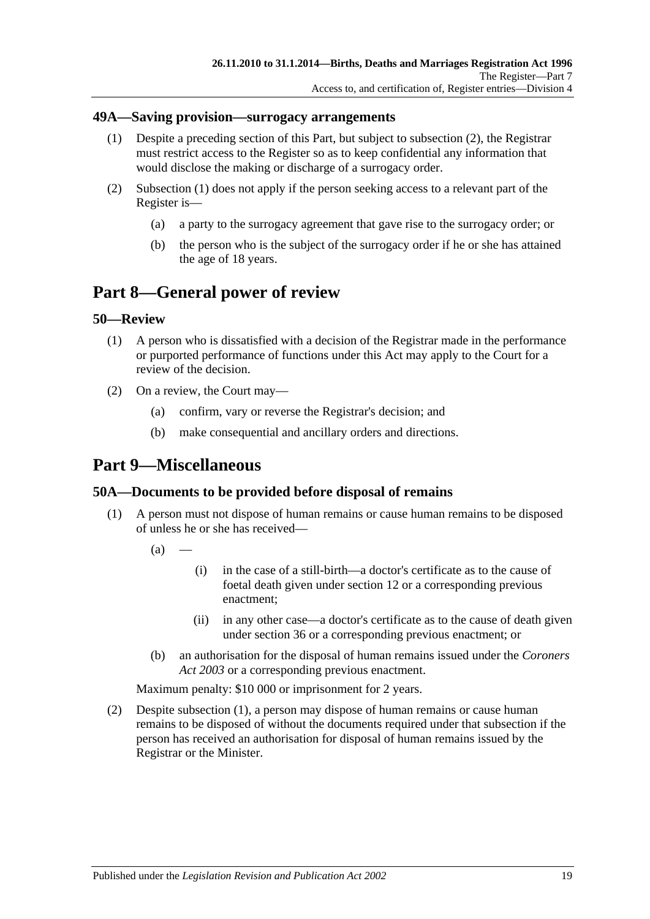#### <span id="page-18-6"></span><span id="page-18-0"></span>**49A—Saving provision—surrogacy arrangements**

- (1) Despite a preceding section of this Part, but subject to [subsection](#page-18-5) (2), the Registrar must restrict access to the Register so as to keep confidential any information that would disclose the making or discharge of a surrogacy order.
- <span id="page-18-5"></span>(2) [Subsection](#page-18-6) (1) does not apply if the person seeking access to a relevant part of the Register is—
	- (a) a party to the surrogacy agreement that gave rise to the surrogacy order; or
	- (b) the person who is the subject of the surrogacy order if he or she has attained the age of 18 years.

## <span id="page-18-1"></span>**Part 8—General power of review**

#### <span id="page-18-2"></span>**50—Review**

- (1) A person who is dissatisfied with a decision of the Registrar made in the performance or purported performance of functions under this Act may apply to the Court for a review of the decision.
- (2) On a review, the Court may—
	- (a) confirm, vary or reverse the Registrar's decision; and
	- (b) make consequential and ancillary orders and directions.

## <span id="page-18-3"></span>**Part 9—Miscellaneous**

#### <span id="page-18-7"></span><span id="page-18-4"></span>**50A—Documents to be provided before disposal of remains**

- (1) A person must not dispose of human remains or cause human remains to be disposed of unless he or she has received—
	- $(a)$
- (i) in the case of a still-birth—a doctor's certificate as to the cause of foetal death given under [section](#page-6-2) 12 or a corresponding previous enactment;
- (ii) in any other case—a doctor's certificate as to the cause of death given under [section](#page-13-4) 36 or a corresponding previous enactment; or
- (b) an authorisation for the disposal of human remains issued under the *[Coroners](http://www.legislation.sa.gov.au/index.aspx?action=legref&type=act&legtitle=Coroners%20Act%202003)  Act [2003](http://www.legislation.sa.gov.au/index.aspx?action=legref&type=act&legtitle=Coroners%20Act%202003)* or a corresponding previous enactment.

Maximum penalty: \$10 000 or imprisonment for 2 years.

<span id="page-18-8"></span>(2) Despite [subsection](#page-18-7) (1), a person may dispose of human remains or cause human remains to be disposed of without the documents required under that subsection if the person has received an authorisation for disposal of human remains issued by the Registrar or the Minister.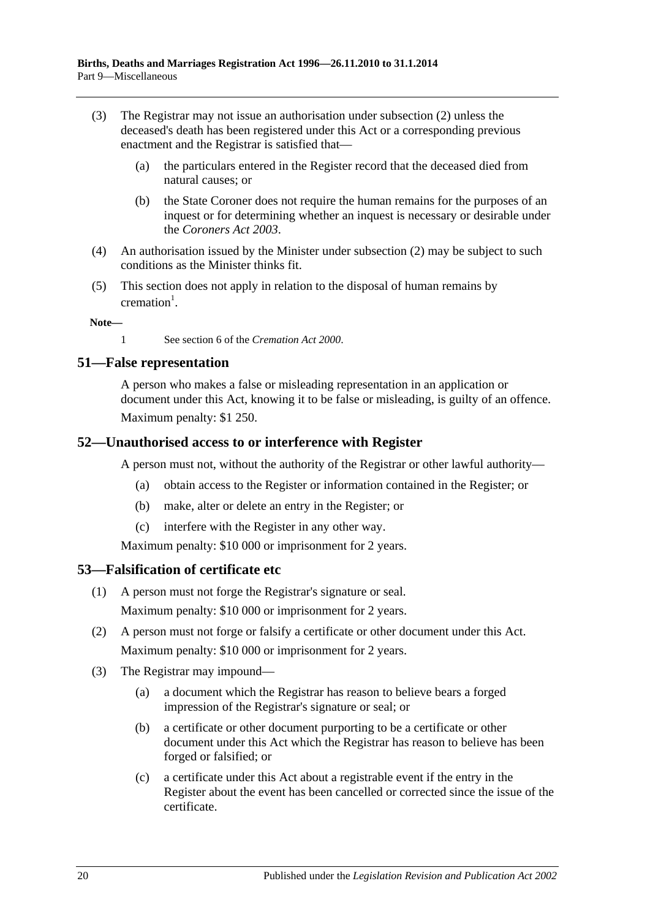- (3) The Registrar may not issue an authorisation under [subsection](#page-18-8) (2) unless the deceased's death has been registered under this Act or a corresponding previous enactment and the Registrar is satisfied that—
	- (a) the particulars entered in the Register record that the deceased died from natural causes; or
	- (b) the State Coroner does not require the human remains for the purposes of an inquest or for determining whether an inquest is necessary or desirable under the *[Coroners Act](http://www.legislation.sa.gov.au/index.aspx?action=legref&type=act&legtitle=Coroners%20Act%202003) 2003*.
- (4) An authorisation issued by the Minister under [subsection](#page-18-8) (2) may be subject to such conditions as the Minister thinks fit.
- (5) This section does not apply in relation to the disposal of human remains by  $c$ remation<sup>1</sup>.

**Note—**

1 See section 6 of the *[Cremation Act](http://www.legislation.sa.gov.au/index.aspx?action=legref&type=act&legtitle=Cremation%20Act%202000) 2000*.

#### <span id="page-19-0"></span>**51—False representation**

A person who makes a false or misleading representation in an application or document under this Act, knowing it to be false or misleading, is guilty of an offence. Maximum penalty: \$1 250.

#### <span id="page-19-1"></span>**52—Unauthorised access to or interference with Register**

A person must not, without the authority of the Registrar or other lawful authority—

- (a) obtain access to the Register or information contained in the Register; or
- (b) make, alter or delete an entry in the Register; or
- (c) interfere with the Register in any other way.

Maximum penalty: \$10 000 or imprisonment for 2 years.

#### <span id="page-19-2"></span>**53—Falsification of certificate etc**

- (1) A person must not forge the Registrar's signature or seal. Maximum penalty: \$10 000 or imprisonment for 2 years.
- (2) A person must not forge or falsify a certificate or other document under this Act. Maximum penalty: \$10 000 or imprisonment for 2 years.
- (3) The Registrar may impound—
	- (a) a document which the Registrar has reason to believe bears a forged impression of the Registrar's signature or seal; or
	- (b) a certificate or other document purporting to be a certificate or other document under this Act which the Registrar has reason to believe has been forged or falsified; or
	- (c) a certificate under this Act about a registrable event if the entry in the Register about the event has been cancelled or corrected since the issue of the certificate.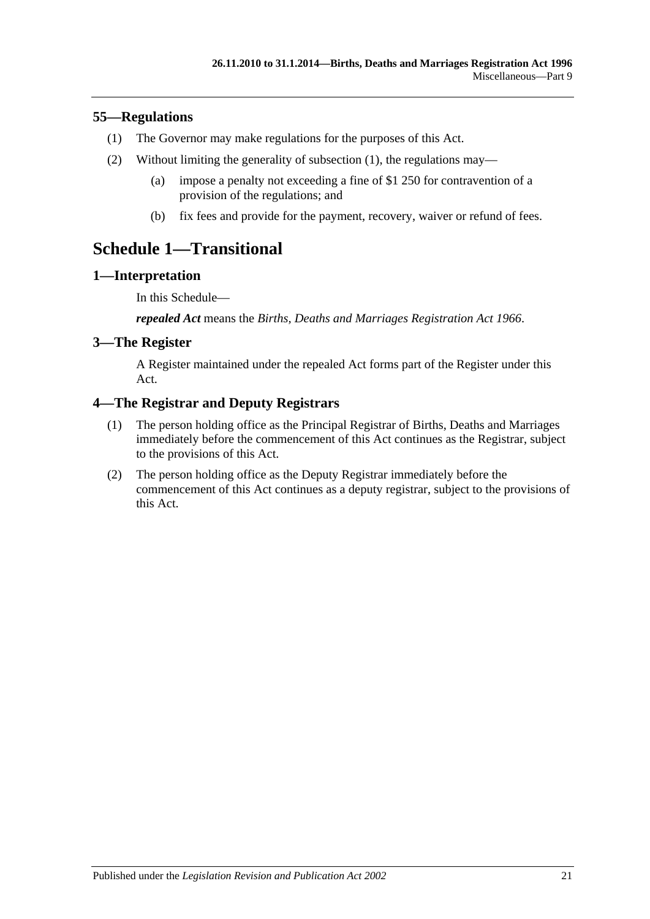#### <span id="page-20-5"></span><span id="page-20-0"></span>**55—Regulations**

- (1) The Governor may make regulations for the purposes of this Act.
- (2) Without limiting the generality of [subsection](#page-20-5) (1), the regulations may—
	- (a) impose a penalty not exceeding a fine of \$1 250 for contravention of a provision of the regulations; and
	- (b) fix fees and provide for the payment, recovery, waiver or refund of fees.

## <span id="page-20-1"></span>**Schedule 1—Transitional**

### <span id="page-20-2"></span>**1—Interpretation**

In this Schedule—

*repealed Act* means the *[Births, Deaths and Marriages Registration Act](http://www.legislation.sa.gov.au/index.aspx?action=legref&type=act&legtitle=Births%20Deaths%20and%20Marriages%20Registration%20Act%201966) 1966*.

### <span id="page-20-3"></span>**3—The Register**

A Register maintained under the repealed Act forms part of the Register under this Act.

### <span id="page-20-4"></span>**4—The Registrar and Deputy Registrars**

- (1) The person holding office as the Principal Registrar of Births, Deaths and Marriages immediately before the commencement of this Act continues as the Registrar, subject to the provisions of this Act.
- (2) The person holding office as the Deputy Registrar immediately before the commencement of this Act continues as a deputy registrar, subject to the provisions of this Act.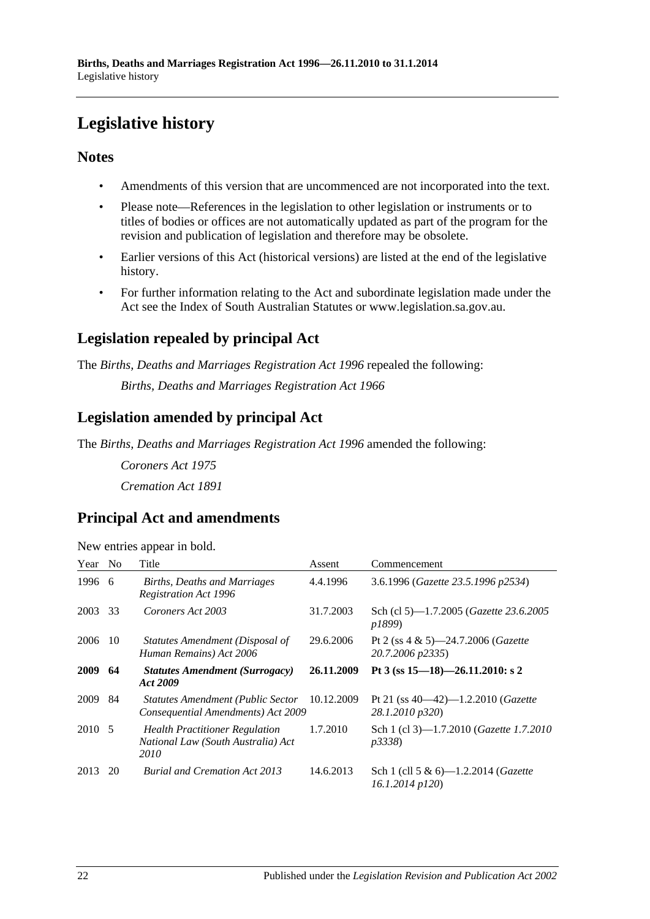# <span id="page-21-0"></span>**Legislative history**

### **Notes**

- Amendments of this version that are uncommenced are not incorporated into the text.
- Please note—References in the legislation to other legislation or instruments or to titles of bodies or offices are not automatically updated as part of the program for the revision and publication of legislation and therefore may be obsolete.
- Earlier versions of this Act (historical versions) are listed at the end of the legislative history.
- For further information relating to the Act and subordinate legislation made under the Act see the Index of South Australian Statutes or www.legislation.sa.gov.au.

## **Legislation repealed by principal Act**

The *Births, Deaths and Marriages Registration Act 1996* repealed the following:

*Births, Deaths and Marriages Registration Act 1966*

### **Legislation amended by principal Act**

The *Births, Deaths and Marriages Registration Act 1996* amended the following:

*Coroners Act 1975 Cremation Act 1891*

### **Principal Act and amendments**

| New entries appear in bold. |  |  |  |  |  |
|-----------------------------|--|--|--|--|--|
|-----------------------------|--|--|--|--|--|

| Year   | N <sub>o</sub> | Title                                                                               | Assent     | Commencement                                                       |
|--------|----------------|-------------------------------------------------------------------------------------|------------|--------------------------------------------------------------------|
| 1996 6 |                | Births, Deaths and Marriages<br><b>Registration Act 1996</b>                        | 4.4.1996   | 3.6.1996 (Gazette 23.5.1996 p2534)                                 |
| 2003   | 33             | Coroners Act 2003                                                                   | 31.7.2003  | Sch (cl 5)-1.7.2005 ( <i>Gazette 23.6.2005</i><br><i>p1899</i> )   |
| 2006   | -10            | Statutes Amendment (Disposal of<br>Human Remains) Act 2006                          | 29.6.2006  | Pt 2 (ss $4 \& 5$ )-24.7.2006 ( <i>Gazette</i><br>20.7.2006 p2335) |
| 2009   | 64             | <b>Statutes Amendment (Surrogacy)</b><br>Act 2009                                   | 26.11.2009 | Pt 3 (ss $15-18$ )-26.11.2010: s 2                                 |
| 2009   | 84             | <b>Statutes Amendment (Public Sector</b><br>Consequential Amendments) Act 2009      | 10.12.2009 | Pt 21 (ss $40-42$ )-1.2.2010 ( <i>Gazette</i><br>28.1.2010 p320)   |
| 2010 5 |                | <b>Health Practitioner Regulation</b><br>National Law (South Australia) Act<br>2010 | 1.7.2010   | Sch 1 (cl 3)-1.7.2010 ( <i>Gazette 1.7.2010</i><br><i>p</i> 3338)  |
| 2013   | 20             | <b>Burial and Cremation Act 2013</b>                                                | 14.6.2013  | Sch 1 (cll 5 & 6)—1.2.2014 ( <i>Gazette</i><br>16.1.2014 p120)     |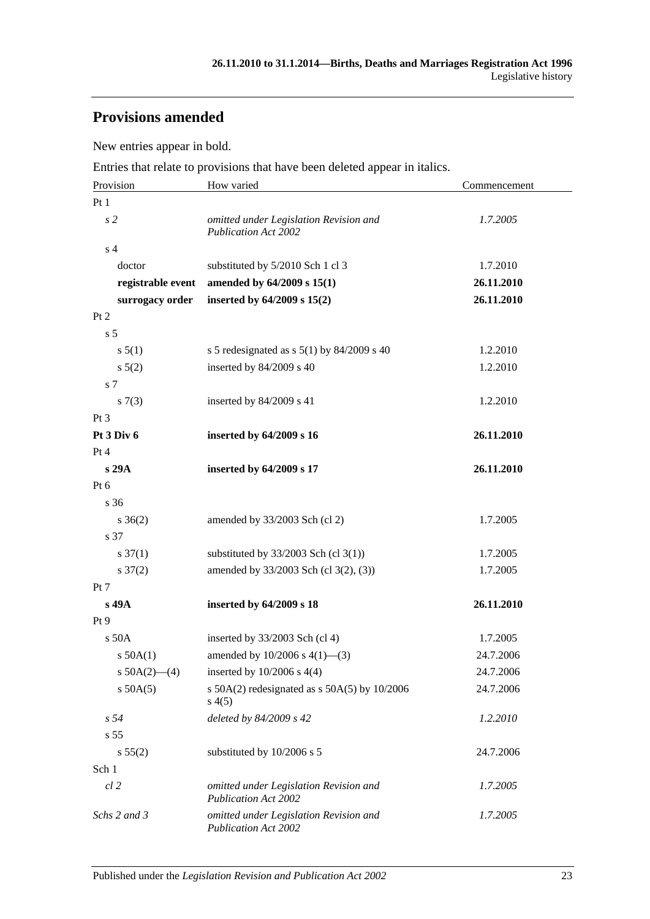## **Provisions amended**

New entries appear in bold.

Entries that relate to provisions that have been deleted appear in italics.

| Provision                                  | How varied                                                                      | Commencement |  |
|--------------------------------------------|---------------------------------------------------------------------------------|--------------|--|
| Pt <sub>1</sub>                            |                                                                                 |              |  |
| s <sub>2</sub>                             | omitted under Legislation Revision and<br><b>Publication Act 2002</b>           | 1.7.2005     |  |
| s <sub>4</sub>                             |                                                                                 |              |  |
| doctor                                     | substituted by 5/2010 Sch 1 cl 3                                                | 1.7.2010     |  |
| registrable event                          | amended by 64/2009 s 15(1)                                                      | 26.11.2010   |  |
| surrogacy order                            | inserted by 64/2009 s 15(2)                                                     | 26.11.2010   |  |
| Pt 2                                       |                                                                                 |              |  |
| s <sub>5</sub>                             |                                                                                 |              |  |
| s 5(1)                                     | s 5 redesignated as s $5(1)$ by 84/2009 s 40                                    | 1.2.2010     |  |
| $s\,5(2)$                                  | inserted by 84/2009 s 40                                                        | 1.2.2010     |  |
| s 7                                        |                                                                                 |              |  |
| s(7(3))                                    | inserted by 84/2009 s 41                                                        | 1.2.2010     |  |
| $Pt\,3$                                    |                                                                                 |              |  |
| Pt 3 Div 6                                 | inserted by 64/2009 s 16                                                        | 26.11.2010   |  |
| Pt 4                                       |                                                                                 |              |  |
| s 29A                                      | inserted by 64/2009 s 17                                                        | 26.11.2010   |  |
| Pt 6                                       |                                                                                 |              |  |
| s 36                                       |                                                                                 |              |  |
| $s \; 36(2)$                               | amended by 33/2003 Sch (cl 2)                                                   | 1.7.2005     |  |
| s 37                                       |                                                                                 | 1.7.2005     |  |
| $s \frac{37(1)}{2}$<br>$s \frac{37(2)}{2}$ | substituted by $33/2003$ Sch (cl 3(1))<br>amended by 33/2003 Sch (cl 3(2), (3)) | 1.7.2005     |  |
| Pt 7                                       |                                                                                 |              |  |
| s 49A                                      | inserted by 64/2009 s 18                                                        | 26.11.2010   |  |
| Pt 9                                       |                                                                                 |              |  |
| s 50A                                      | inserted by $33/2003$ Sch (cl 4)                                                | 1.7.2005     |  |
| $s$ 50A $(1)$                              | amended by $10/2006$ s $4(1)$ —(3)                                              | 24.7.2006    |  |
| s $50A(2)$ - (4)                           | inserted by $10/2006$ s $4(4)$                                                  | 24.7.2006    |  |
| $s$ 50A(5)                                 | s $50A(2)$ redesignated as s $50A(5)$ by $10/2006$<br>s(4(5)                    | 24.7.2006    |  |
| s <sub>54</sub>                            | deleted by 84/2009 s 42                                                         | 1.2.2010     |  |
| s <sub>55</sub>                            |                                                                                 |              |  |
| s 55(2)                                    | substituted by 10/2006 s 5                                                      | 24.7.2006    |  |
| Sch 1                                      |                                                                                 |              |  |
| $cl$ 2                                     | omitted under Legislation Revision and<br><b>Publication Act 2002</b>           | 1.7.2005     |  |
| Schs 2 and 3                               | omitted under Legislation Revision and<br>Publication Act 2002                  | 1.7.2005     |  |